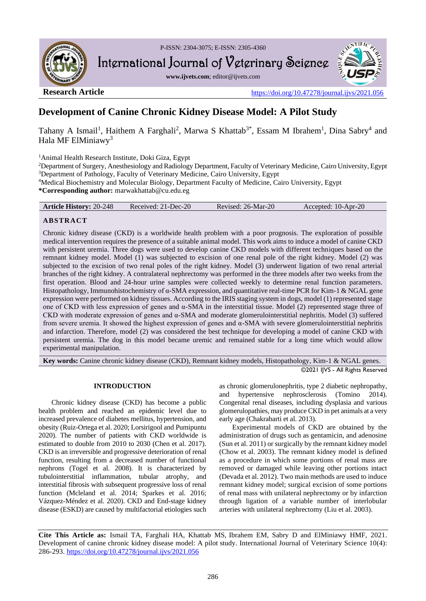

P-ISSN: 2304-3075; E-ISSN: 2305-4360

International Journal of Veterinary Science

**www.ijvets.com**; editor@ijvets.com



**Research Article** <https://doi.org/10.47278/journal.ijvs/2021.056>

# **Development of Canine Chronic Kidney Disease Model: A Pilot Study**

Tahany A Ismail<sup>1</sup>, Haithem A Farghali<sup>2</sup>, Marwa S Khattab<sup>3\*</sup>, Essam M Ibrahem<sup>1</sup>, Dina Sabry<sup>4</sup> and Hala MF ElMiniawy<sup>3</sup>

<sup>1</sup>Animal Health Research Institute, Doki Giza, Egypt

<sup>2</sup>Department of Surgery, Anesthesiology and Radiology Department, Faculty of Veterinary Medicine, Cairo University, Egypt <sup>3</sup>Department of Pathology, Faculty of Veterinary Medicine, Cairo University, Egypt

<sup>4</sup>Medical Biochemistry and Molecular Biology, Department Faculty of Medicine, Cairo University, Egypt

**\*Corresponding author:** marwakhattab@cu.edu.eg

|  | <b>Article History: 20-248</b> | Received: 21-Dec-20 | Revised: 26-Mar-20 | Accepted: 10-Apr-20 |
|--|--------------------------------|---------------------|--------------------|---------------------|
|--|--------------------------------|---------------------|--------------------|---------------------|

## **ABSTRACT**

Chronic kidney disease (CKD) is a worldwide health problem with a poor prognosis. The exploration of possible medical intervention requires the presence of a suitable animal model. This work aims to induce a model of canine CKD with persistent uremia. Three dogs were used to develop canine CKD models with different techniques based on the remnant kidney model. Model (1) was subjected to excision of one renal pole of the right kidney. Model (2) was subjected to the excision of two renal poles of the right kidney. Model (3) underwent ligation of two renal arterial branches of the right kidney. A contralateral nephrectomy was performed in the three models after two weeks from the first operation. Blood and 24-hour urine samples were collected weekly to determine renal function parameters. Histopathology, Immunohistochemistry of α-SMA expression, and quantitative real-time PCR for Kim-1 & NGAL gene expression were performed on kidney tissues. According to the IRIS staging system in dogs, model (1) represented stage one of CKD with less expression of genes and α-SMA in the interstitial tissue. Model (2) represented stage three of CKD with moderate expression of genes and α-SMA and moderate glomerulointerstitial nephritis. Model (3) suffered from severe uremia. It showed the highest expression of genes and α-SMA with severe glomerulointerstitial nephritis and infarction. Therefore, model (2) was considered the best technique for developing a model of canine CKD with persistent uremia. The dog in this model became uremic and remained stable for a long time which would allow experimental manipulation.

**Key words:** Canine chronic kidney disease (CKD), Remnant kidney models, Histopathology, Kim-1 & NGAL genes. ©2021 IJVS - All Rights Reserved

### **INTRODUCTION**

Chronic kidney disease (CKD) has become a public health problem and reached an epidemic level due to increased prevalence of diabetes mellitus, hypertension, and obesity (Ruiz-Ortega et al. 2020; Lorsirigool and Pumipuntu 2020). The number of patients with CKD worldwide is estimated to double from 2010 to 2030 (Chen et al. 2017). CKD is an irreversible and progressive deterioration of renal function, resulting from a decreased number of functional nephrons (Togel et al. 2008). It is characterized by tubulointerstitial inflammation, tubular atrophy, and interstitial fibrosis with subsequent progressive loss of renal function (Mcleland et al. 2014; Sparkes et al. 2016; Vázquez-Méndez et al. 2020). CKD and End-stage kidney disease (ESKD) are caused by multifactorial etiologies such

as chronic glomerulonephritis, type 2 diabetic nephropathy, and hypertensive nephrosclerosis (Tomino 2014). Congenital renal diseases, including dysplasia and various glomerulopathies, may produce CKD in pet animals at a very early age (Chakrabarti et al. 2013).

Experimental models of CKD are obtained by the administration of drugs such as gentamicin, and adenosine (Sun et al. 2011) or surgically by the remnant kidney model (Chow et al. 2003). The remnant kidney model is defined as a procedure in which some portions of renal mass are removed or damaged while leaving other portions intact (Devada et al. 2012). Two main methods are used to induce remnant kidney model; surgical excision of some portions of renal mass with unilateral nephrectomy or by infarction through ligation of a variable number of interlobular arteries with unilateral nephrectomy (Liu et al. 2003).

**Cite This Article as:** Ismail TA, Farghali HA, Khattab MS, Ibrahem EM, Sabry D and ElMiniawy HMF, 2021. Development of canine chronic kidney disease model: A pilot study. International Journal of Veterinary Science 10(4): 286-293.<https://doi.org/10.47278/journal.ijvs/2021.056>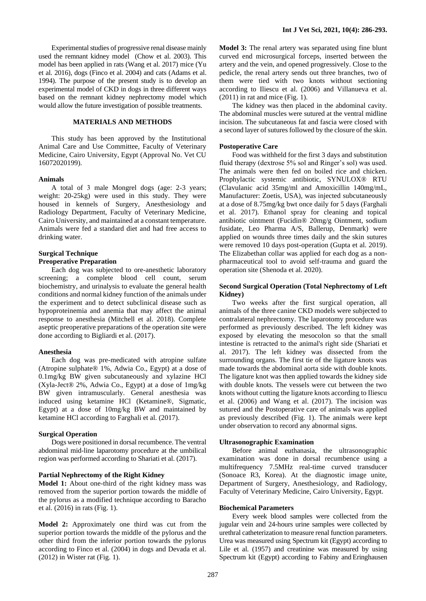Experimental studies of progressive renal disease mainly used the remnant kidney model (Chow et al. 2003). This model has been applied in rats (Wang et al. 2017) mice (Yu et al. 2016), dogs (Finco et al. 2004) and cats (Adams et al. 1994). The purpose of the present study is to develop an experimental model of CKD in dogs in three different ways based on the remnant kidney nephrectomy model which would allow the future investigation of possible treatments.

#### **MATERIALS AND METHODS**

This study has been approved by the Institutional Animal Care and Use Committee, Faculty of Veterinary Medicine, Cairo University, Egypt (Approval No. Vet CU 16072020199).

#### **Animals**

A total of 3 male Mongrel dogs (age: 2-3 years; weight: 20-25kg) were used in this study. They were housed in kennels of Surgery, Anesthesiology and Radiology Department, Faculty of Veterinary Medicine, Cairo University, and maintained at a constant temperature. Animals were fed a standard diet and had free access to drinking water.

#### **Surgical Technique Preoperative Preparation**

Each dog was subjected to ore-anesthetic laboratory screening; a complete blood cell count, serum biochemistry, and urinalysis to evaluate the general health conditions and normal kidney function of the animals under the experiment and to detect subclinical disease such as hypoproteinemia and anemia that may affect the animal response to anesthesia (Mitchell et al. 2018). Complete aseptic preoperative preparations of the operation site were done according to Bigliardi et al. (2017).

#### **Anesthesia**

Each dog was pre-medicated with atropine sulfate (Atropine sulphate® 1%, Adwia Co., Egypt) at a dose of 0.1mg/kg BW given subcutaneously and xylazine HCl (Xyla-Ject® 2%, Adwia Co., Egypt) at a dose of 1mg/kg BW given intramuscularly. General anesthesia was induced using ketamine HCl (Ketamine®, Sigmatic, Egypt) at a dose of 10mg/kg BW and maintained by ketamine HCl according to Farghali et al. (2017).

#### **Surgical Operation**

Dogs were positioned in dorsal recumbence. The ventral abdominal mid-line laparotomy procedure at the umbilical region was performed according to Shariati et al. (2017).

#### **Partial Nephrectomy of the Right Kidney**

**Model 1:** About one-third of the right kidney mass was removed from the superior portion towards the middle of the pylorus as a modified technique according to Baracho et al. (2016) in rats (Fig. 1).

**Model 2:** Approximately one third was cut from the superior portion towards the middle of the pylorus and the other third from the inferior portion towards the pylorus according to Finco et al. (2004) in dogs and Devada et al. (2012) in Wister rat (Fig. 1).

**Model 3:** The renal artery was separated using fine blunt curved end microsurgical forceps, inserted between the artery and the vein, and opened progressively. Close to the pedicle, the renal artery sends out three branches, two of them were tied with two knots without sectioning according to Iliescu et al. (2006) and Villanueva et al.  $(2011)$  in rat and mice (Fig. 1).

The kidney was then placed in the abdominal cavity. The abdominal muscles were sutured at the ventral midline incision. The subcutaneous fat and fascia were closed with a second layer of sutures followed by the closure of the skin.

#### **Postoperative Care**

Food was withheld for the first 3 days and substitution fluid therapy (dextrose 5% sol and Ringer's sol) was used. The animals were then fed on boiled rice and chicken. Prophylactic systemic antibiotic, SYNULOX® RTU (Clavulanic acid 35mg/ml and Amoxicillin 140mg/mL, Manufacturer: Zoetis, USA), was injected subcutaneously at a dose of 8.75mg/kg bwt once daily for 5 days (Farghali et al. 2017). Ethanol spray for cleaning and topical antibiotic ointment (Fucidin® 20mg/g Ointment, sodium fusidate, Leo Pharma A/S, Ballerup, Denmark) were applied on wounds three times daily and the skin sutures were removed 10 days post-operation (Gupta et al. 2019). The Elizabethan collar was applied for each dog as a nonpharmaceutical tool to avoid self-trauma and guard the operation site (Shenoda et al. 2020).

#### **Second Surgical Operation (Total Nephrectomy of Left Kidney)**

Two weeks after the first surgical operation, all animals of the three canine CKD models were subjected to contralateral nephrectomy. The laparotomy procedure was performed as previously described. The left kidney was exposed by elevating the mesocolon so that the small intestine is retracted to the animal's right side (Shariati et al. 2017). The left kidney was dissected from the surrounding organs. The first tie of the ligature knots was made towards the abdominal aorta side with double knots. The ligature knot was then applied towards the kidney side with double knots. The vessels were cut between the two knots without cutting the ligature knots according to Iliescu et al. (2006) and Wang et al. (2017). The incision was sutured and the Postoperative care of animals was applied as previously described (Fig. 1). The animals were kept under observation to record any abnormal signs.

#### **Ultrasonographic Examination**

Before animal euthanasia, the ultrasonographic examination was done in dorsal recumbence using a multifrequency 7.5MHz real-time curved transducer (Sonoace R3, Korea). At the diagnostic image unite, Department of Surgery, Anesthesiology, and Radiology, Faculty of Veterinary Medicine, Cairo University, Egypt.

#### **Biochemical Parameters**

Every week blood samples were collected from the jugular vein and 24-hours urine samples were collected by urethral catheterization to measure renal function parameters. Urea was measured using Spectrum kit (Egypt) according to Lile et al. (1957) and creatinine was measured by using Spectrum kit (Egypt) according to Fabiny and Eringhausen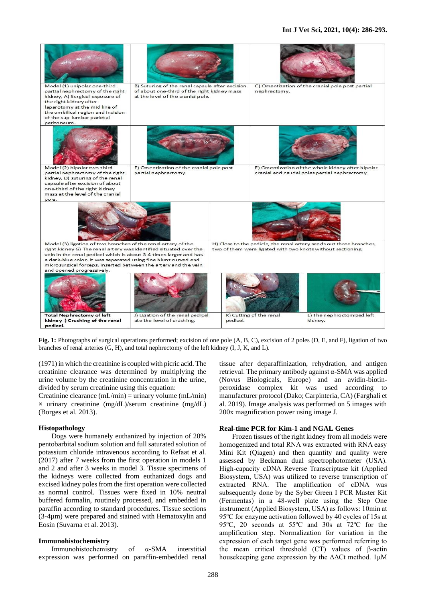#### **Int J Vet Sci, 2021, 10(4): 286-293.**



**Fig. 1:** Photographs of surgical operations performed; excision of one pole (A, B, C), excision of 2 poles (D, E, and F), ligation of two branches of renal arteries (G, H), and total nephrectomy of the left kidney (I, J, K, and L).

(1971) in which the creatinine is coupled with picric acid. The creatinine clearance was determined by multiplying the urine volume by the creatinine concentration in the urine, divided by serum creatinine using this equation:

Creatinine clearance (mL/min) = urinary volume (mL/min) **×** urinary creatinine (mg/dL)/serum creatinine (mg/dL) (Borges et al. 2013).

#### **Histopathology**

Dogs were humanely euthanized by injection of 20% pentobarbital sodium solution and full saturated solution of potassium chloride intravenous according to Refaat et al. (2017) after 7 weeks from the first operation in models 1 and 2 and after 3 weeks in model 3. Tissue specimens of the kidneys were collected from euthanized dogs and excised kidney poles from the first operation were collected as normal control. Tissues were fixed in 10% neutral buffered formalin, routinely processed, and embedded in paraffin according to standard procedures. Tissue sections (3-4µm) were prepared and stained with Hematoxylin and Eosin (Suvarna et al. 2013).

#### **Immunohistochemistry**

Immunohistochemistry of α-SMA interstitial expression was performed on paraffin-embedded renal

tissue after deparaffinization, rehydration, and antigen retrieval. The primary antibody against α-SMA was applied (Novus Biologicals, Europe) and an avidin-biotinperoxidase complex kit was used according to manufacturer protocol (Dako; Carpinteria, CA) (Farghali et al. 2019). Image analysis was performed on 5 images with 200x magnification power using image J.

#### **Real-time PCR for Kim-1 and NGAL Genes**

Frozen tissues of the right kidney from all models were homogenized and total RNA was extracted with RNA easy Mini Kit (Qiagen) and then quantity and quality were assessed by Beckman dual spectrophotometer (USA). High-capacity cDNA Reverse Transcriptase kit (Applied Biosystem, USA) was utilized to reverse transcription of extracted RNA. The amplification of cDNA was subsequently done by the Syber Green I PCR Master Kit (Fermentas) in a 48-well plate using the Step One instrument (Applied Biosystem, USA) as follows: 10min at 95ºC for enzyme activation followed by 40 cycles of 15s at 95ºC, 20 seconds at 55ºC and 30s at 72ºC for the amplification step. Normalization for variation in the expression of each target gene was performed referring to the mean critical threshold (CT) values of β-actin housekeeping gene expression by the  $\Delta\Delta$ Ct method. 1μM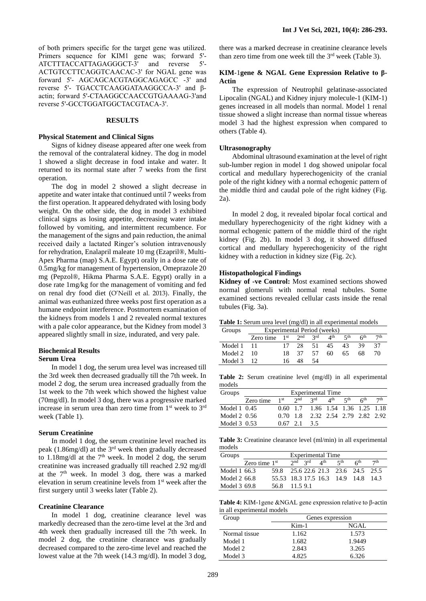#### **RESULTS**

#### **Physical Statement and Clinical Signs**

Signs of kidney disease appeared after one week from the removal of the contralateral kidney. The dog in model 1 showed a slight decrease in food intake and water. It returned to its normal state after 7 weeks from the first operation.

The dog in model 2 showed a slight decrease in appetite and water intake that continued until 7 weeks from the first operation. It appeared dehydrated with losing body weight. On the other side, the dog in model 3 exhibited clinical signs as losing appetite, decreasing water intake followed by vomiting, and intermittent recumbence. For the management of the signs and pain reduction, the animal received daily a lactated Ringer's solution intravenously for rehydration, Enalapril maleate 10 mg (Ezapril®, Multi-Apex Pharma (map) S.A.E. Egypt) orally in a dose rate of 0.5mg/kg for management of hypertension, Omeprazole 20 mg (Pepzol®, Hikma Pharma S.A.E. Egypt) orally in a dose rate 1mg/kg for the management of vomiting and fed on renal dry food diet (O'Neill et al. 2013). Finally, the animal was euthanized three weeks post first operation as a humane endpoint interference. Postmortem examination of the kidneys from models 1 and 2 revealed normal textures with a pale color appearance, but the Kidney from model 3 appeared slightly small in size, indurated, and very pale.

#### **Biochemical Results Serum Urea**

In model 1 dog, the serum urea level was increased till the 3rd week then decreased gradually till the 7th week. In model 2 dog, the serum urea increased gradually from the 1st week to the 7th week which showed the highest value (70mg/dl). In model 3 dog, there was a progressive marked increase in serum urea than zero time from  $1<sup>st</sup>$  week to  $3<sup>rd</sup>$ week (Table 1).

#### **Serum Creatinine**

In model 1 dog, the serum creatinine level reached its peak (1.86mg/dl) at the 3rd week then gradually decreased to 1.18mg/dl at the  $7<sup>th</sup>$  week. In model 2 dog, the serum creatinine was increased gradually till reached 2.92 mg/dl at the  $7<sup>th</sup>$  week. In model 3 dog, there was a marked elevation in serum creatinine levels from 1st week after the first surgery until 3 weeks later (Table 2).

#### **Creatinine Clearance**

In model 1 dog, creatinine clearance level was markedly decreased than the zero-time level at the 3rd and 4th week then gradually increased till the 7th week. In model 2 dog, the creatinine clearance was gradually decreased compared to the zero-time level and reached the lowest value at the 7th week (14.3 mg/dl). In model 3 dog,

there was a marked decrease in creatinine clearance levels than zero time from one week till the 3<sup>rd</sup> week (Table 3).

#### **KIM**-1**gene & NGAL Gene Expression Relative to β-Actin**

The expression of Neutrophil gelatinase-associated Lipocalin (NGAL) and Kidney injury molecule-1 (KIM-1) genes increased in all models than normal. Model 1 renal tissue showed a slight increase than normal tissue whereas model 3 had the highest expression when compared to others (Table 4).

#### **Ultrasonography**

Abdominal ultrasound examination at the level of right sub-lumber region in model 1 dog showed unipolar focal cortical and medullary hyperechogenicity of the cranial pole of the right kidney with a normal echogenic pattern of the middle third and caudal pole of the right kidney (Fig. 2a).

In model 2 dog, it revealed bipolar focal cortical and medullary hyperechogenicity of the right kidney with a normal echogenic pattern of the middle third of the right kidney (Fig. 2b). In model 3 dog, it showed diffused cortical and medullary hyperechogenicity of the right kidney with a reduction in kidney size (Fig. 2c).

#### **Histopathological Findings**

**Kidney of -ve Control:** Most examined sections showed normal glomeruli with normal renal tubules. Some examined sections revealed cellular casts inside the renal tubules (Fig. 3a).

**Table 1:** Serum urea level (mg/dl) in all experimental models

| Groups             | Experimental Period (weeks) |     |       |      |                                |       |                 |                 |
|--------------------|-----------------------------|-----|-------|------|--------------------------------|-------|-----------------|-----------------|
|                    | Zero time $1st$ $2nd$ $3rd$ |     |       |      | $\mathbf{\Lambda}^{\text{th}}$ | 5th   | 6 <sup>th</sup> | 7 <sup>th</sup> |
| Model 1 11         |                             |     | 17 28 |      | 51 45                          | 43 39 |                 | 37              |
| Model $2 \quad 10$ |                             |     | 18 37 | - 57 | 60.                            | 65.   | 68              | 70              |
| Model 3 12         |                             | 16. | 48    | -54  |                                |       |                 |                 |

**Table 2:** Serum creatinine level (mg/dl) in all experimental models

| Groups       | Experimental Time |                 |                |                                     |  |  |                 |                 |
|--------------|-------------------|-----------------|----------------|-------------------------------------|--|--|-----------------|-----------------|
|              | Zero time         | 1 <sup>st</sup> |                | $2^{nd}$ $2^{rd}$ $4^{th}$ $5^{th}$ |  |  | 6 <sup>th</sup> | 7 <sup>th</sup> |
| Model 1 0.45 |                   |                 |                | 0.60 1.7 1.86 1.54 1.36 1.25 1.18   |  |  |                 |                 |
| Model 2 0.56 |                   |                 |                | 0.70 1.8 2.32 2.54 2.79 2.82 2.92   |  |  |                 |                 |
| Model 3 0.53 |                   |                 | $0.67$ 2.1 3.5 |                                     |  |  |                 |                 |

**Table 3:** Creatinine clearance level (ml/min) in all experimental models

| Groups       |                 |                                     |  | Experimental Time     |                 |     |
|--------------|-----------------|-------------------------------------|--|-----------------------|-----------------|-----|
|              | Zero time $1st$ |                                     |  | 2nd 2rd $4$ th $5$ th | 6 <sup>th</sup> | 7th |
| Model 1 66.3 |                 | 59.8 25.6 22.6 21.3 23.6 24.5 25.5  |  |                       |                 |     |
| Model 2 66.8 |                 | 55.53 18.3 17.5 16.3 14.9 14.8 14.3 |  |                       |                 |     |
| Model 3 69.8 |                 | 56.8 11.5 9.1                       |  |                       |                 |     |

**Table 4:** KIM-1gene &NGAL gene expression relative to β-actin in all experimental models

| Group         | Genes expression |        |  |  |  |
|---------------|------------------|--------|--|--|--|
|               | $Kim-1$          | NGAL   |  |  |  |
| Normal tissue | 1.162            | 1.573  |  |  |  |
| Model 1       | 1.682            | 1.9449 |  |  |  |
| Model 2       | 2.843            | 3.265  |  |  |  |
| Model 3       | 4.825            | 6.326  |  |  |  |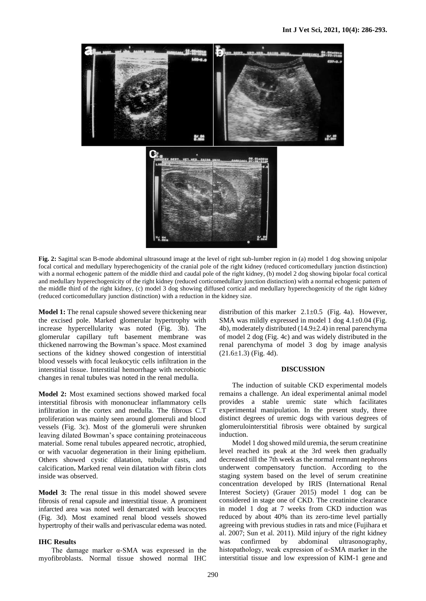

**Fig. 2:** Sagittal scan B-mode abdominal ultrasound image at the level of right sub-lumber region in (a) model 1 dog showing unipolar focal cortical and medullary hyperechogenicity of the cranial pole of the right kidney (reduced corticomedullary junction distinction) with a normal echogenic pattern of the middle third and caudal pole of the right kidney, (b) model 2 dog showing bipolar focal cortical and medullary hyperechogenicity of the right kidney (reduced corticomedullary junction distinction) with a normal echogenic pattern of the middle third of the right kidney, (c) model 3 dog showing diffused cortical and medullary hyperechogenicity of the right kidney (reduced corticomedullary junction distinction) with a reduction in the kidney size.

**Model 1:** The renal capsule showed severe thickening near the excised pole. Marked glomerular hypertrophy with increase hypercellularity was noted (Fig. 3b). The glomerular capillary tuft basement membrane was thickened narrowing the Bowman's space. Most examined sections of the kidney showed congestion of interstitial blood vessels with focal leukocytic cells infiltration in the interstitial tissue. Interstitial hemorrhage with necrobiotic changes in renal tubules was noted in the renal medulla.

**Model 2:** Most examined sections showed marked focal interstitial fibrosis with mononuclear inflammatory cells infiltration in the cortex and medulla. The fibrous C.T proliferation was mainly seen around glomeruli and blood vessels (Fig. 3c). Most of the glomeruli were shrunken leaving dilated Bowman's space containing proteinaceous material. Some renal tubules appeared necrotic, atrophied, or with vacuolar degeneration in their lining epithelium. Others showed cystic dilatation, tubular casts, and calcification**.** Marked renal vein dilatation with fibrin clots inside was observed.

**Model 3:** The renal tissue in this model showed severe fibrosis of renal capsule and interstitial tissue. A prominent infarcted area was noted well demarcated with leucocytes (Fig. 3d). Most examined renal blood vessels showed hypertrophy of their walls and perivascular edema was noted.

#### **IHC Results**

The damage marker α-SMA was expressed in the myofibroblasts. Normal tissue showed normal IHC

distribution of this marker  $2.1 \pm 0.5$  (Fig. 4a). However, SMA was mildly expressed in model 1 dog  $4.1\pm0.04$  (Fig. 4b), moderately distributed (14.9±2.4) in renal parenchyma of model 2 dog (Fig. 4c) and was widely distributed in the renal parenchyma of model 3 dog by image analysis  $(21.6 \pm 1.3)$  (Fig. 4d).

#### **DISCUSSION**

The induction of suitable CKD experimental models remains a challenge. An ideal experimental animal model provides a stable uremic state which facilitates experimental manipulation. In the present study, three distinct degrees of uremic dogs with various degrees of glomerulointerstitial fibrosis were obtained by surgical induction.

Model 1 dog showed mild uremia, the serum creatinine level reached its peak at the 3rd week then gradually decreased till the 7th week as the normal remnant nephrons underwent compensatory function. According to the staging system based on the level of serum creatinine concentration developed by IRIS (International Renal Interest Society) (Grauer 2015) model 1 dog can be considered in stage one of CKD. The creatinine clearance in model 1 dog at 7 weeks from CKD induction was reduced by about 40% than its zero-time level partially agreeing with previous studies in rats and mice (Fujihara et al. 2007; Sun et al. 2011). Mild injury of the right kidney was confirmed by abdominal ultrasonography, histopathology, weak expression of α-SMA marker in the interstitial tissue and low expression of KIM-1 gene and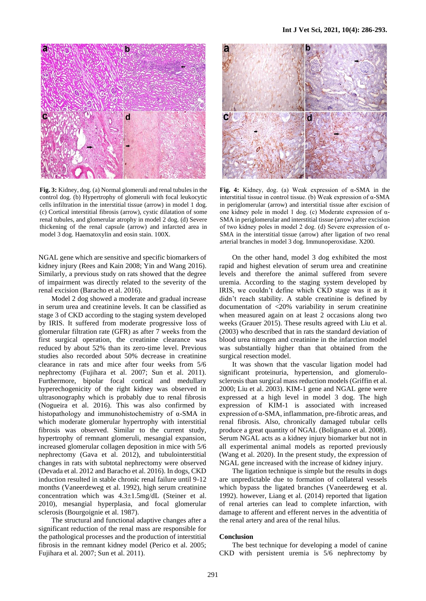

**Fig. 3:** Kidney, dog. (a) Normal glomeruli and renal tubules in the control dog. (b) Hypertrophy of glomeruli with focal leukocytic cells infiltration in the interstitial tissue (arrow) in model 1 dog. (c) Cortical interstitial fibrosis (arrow), cystic dilatation of some renal tubules, and glomerular atrophy in model 2 dog. (d) Severe thickening of the renal capsule (arrow) and infarcted area in model 3 dog. Haematoxylin and eosin stain. 100X.

NGAL gene which are sensitive and specific biomarkers of kidney injury (Rees and Kain 2008; Yin and Wang 2016). Similarly, a previous study on rats showed that the degree of impairment was directly related to the severity of the renal excision (Baracho et al. 2016).

Model 2 dog showed a moderate and gradual increase in serum urea and creatinine levels. It can be classified as stage 3 of CKD according to the staging system developed by IRIS. It suffered from moderate progressive loss of glomerular filtration rate (GFR) as after 7 weeks from the first surgical operation, the creatinine clearance was reduced by about 52% than its zero-time level. Previous studies also recorded about 50% decrease in creatinine clearance in rats and mice after four weeks from 5/6 nephrectomy (Fujihara et al. 2007; Sun et al. 2011). Furthermore, bipolar focal cortical and medullary hyperechogenicity of the right kidney was observed in ultrasonography which is probably due to renal fibrosis (Nogueira et al. 2016). This was also confirmed by histopathology and immunohistochemistry of α-SMA in which moderate glomerular hypertrophy with interstitial fibrosis was observed. Similar to the current study, hypertrophy of remnant glomeruli, mesangial expansion, increased glomerular collagen deposition in mice with 5/6 nephrectomy (Gava et al. 2012), and tubulointerstitial changes in rats with subtotal nephrectomy were observed (Devada et al. 2012 and Baracho et al. 2016). In dogs, CKD induction resulted in stable chronic renal failure until 9-12 months (Vaneerdeweg et al. 1992), high serum creatinine concentration which was 4.3±1.5mg/dL (Steiner et al. 2010), mesangial hyperplasia, and focal glomerular sclerosis (Bourgoignie et al. 1987).

The structural and functional adaptive changes after a significant reduction of the renal mass are responsible for the pathological processes and the production of interstitial fibrosis in the remnant kidney model (Perico et al. 2005; Fujihara et al. 2007; Sun et al. 2011).



**Fig. 4:** Kidney, dog. (a) Weak expression of α-SMA in the interstitial tissue in control tissue. (b) Weak expression of α-SMA in periglomerular (arrow) and interstitial tissue after excision of one kidney pole in model 1 dog. (c) Moderate expression of α-SMA in periglomerular and interstitial tissue (arrow) after excision of two kidney poles in model 2 dog. (d) Severe expression of α-SMA in the interstitial tissue (arrow) after ligation of two renal arterial branches in model 3 dog. Immunoperoxidase. X200.

On the other hand, model 3 dog exhibited the most rapid and highest elevation of serum urea and creatinine levels and therefore the animal suffered from severe uremia. According to the staging system developed by IRIS, we couldn't define which CKD stage was it as it didn't reach stability. A stable creatinine is defined by documentation of <20% variability in serum creatinine when measured again on at least 2 occasions along two weeks (Grauer 2015). These results agreed with Liu et al. (2003) who described that in rats the standard deviation of blood urea nitrogen and creatinine in the infarction model was substantially higher than that obtained from the surgical resection model.

It was shown that the vascular ligation model had significant proteinuria, hypertension, and glomerulosclerosis than surgical mass reduction models (Griffin et al. 2000; Liu et al. 2003). KIM-1 gene and NGAL gene were expressed at a high level in model 3 dog. The high expression of KIM-1 is associated with increased expression of α-SMA, inflammation, pre-fibrotic areas, and renal fibrosis. Also, chronically damaged tubular cells produce a great quantity of NGAL (Bolignano et al. 2008). Serum NGAL acts as a kidney injury biomarker but not in all experimental animal models as reported previously (Wang et al. 2020). In the present study, the expression of NGAL gene increased with the increase of kidney injury.

The ligation technique is simple but the results in dogs are unpredictable due to formation of collateral vessels which bypass the ligated branches (Vaneerdeweg et al. 1992). however, Liang et al. (2014) reported that ligation of renal arteries can lead to complete infarction, with damage to afferent and efferent nerves in the adventitia of the renal artery and area of the renal hilus.

#### **Conclusion**

The best technique for developing a model of canine CKD with persistent uremia is 5/6 nephrectomy by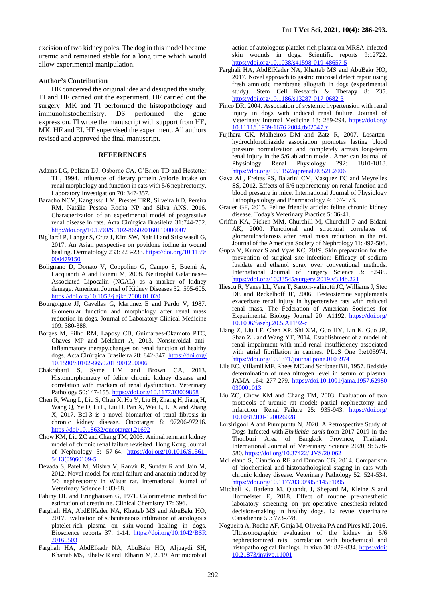excision of two kidney poles. The dog in this model became uremic and remained stable for a long time which would allow experimental manipulation.

#### **Author's Contribution**

HE conceived the original idea and designed the study. TI and HF carried out the experiment. HF carried out the surgery. MK and TI performed the histopathology and immunohistochemistry. DS performed the gene expression. TI wrote the manuscript with support from HE, MK, HF and EI. HE supervised the experiment. All authors revised and approved the final manuscript.

#### **REFERENCES**

- Adams LG, Polizin DJ, Osborne CA, O'Brien TD and Hostetter TH, 1994. Influence of dietary protein /calorie intake on renal morphology and function in cats with 5/6 nephrectomy. Laboratory Investigation 70: 347-357.
- Baracho NCV, Kangussu LM, Prestes TRR, Silveira KD, Pereira RM, Natália Pessoa Rocha NP and Silva ANS, 2016. Characterization of an experimental model of progressive renal disease in rats. Acta Cirúrgica Brasileira 31:744-752. <http://doi.org/10.1590/S0102-865020160110000007>
- Bigliardi P, Langer S, Cruz J, Kim SW, Nair H and Srisawasdi G, 2017. An Asian perspective on povidone iodine in wound healing. Dermatology 233: 223-233[. https://doi.org/10.1159/](https://doi.org/10.1159/%20000479150)  [000479150](https://doi.org/10.1159/%20000479150)
- Bolignano D, Donato V, Coppolino G, Campo S, Buemi A, Lacquaniti A and Buemi M, 2008. Neutrophil Gelatinase– Associated Lipocalin (NGAL) as a marker of kidney damage. American Journal of Kidney Diseases 52: 595-605. <https://doi.org/10.1053/j.ajkd.2008.01.020>
- Bourgoignie JJ, Gavellas G, Martinez E and Pardo V, 1987. Glomerular function and morphology after renal mass reduction in dogs. Journal of Laboratory Clinical Medicine 109: 380-388.
- Borges M, Filho RM, Laposy CB, Guimaraes-Okamoto PTC, Chaves MP and Melchert A, 2013. Nonsteroidal antiinflammatory therapy.changes on renal function of healthy dogs. Acta Cirúrgica Brasileira 28: 842-847. https://doi.org/ [10.1590/S0102-86502013001200006](https://doi.org/%2010.1590/S0102-86502013001200006)
- Chakrabarti S, Syme HM and Brown CA, 2013. Histomorphometry of feline chronic kidney disease and correlation with markers of renal dysfunction. Veterinary Pathology 50:147-155[. https://doi.org/10.1177/03009858](https://doi.org/10.1177/03009858)
- Chen R, Wang L, Liu S, Chen X, Hu Y, Liu H, Zhang H, Jiang H, Wang Q, Ye D, Li L, Liu D, Pan X, Wei L, Li X and Zhang X, 2017. Bcl-3 is a novel biomarker of renal fibrosis in chronic kidney disease. Oncotarget 8: 97206-97216. <https://doi/10.18632/oncotarget.21692>
- Chow KM, Liu ZC and Chang TM, 2003. Animal remnant kidney model of chronic renal failure revisited. Hong Kong Journal of Nephrology 5: 57-64. [https://doi.org/10.1016/S1561-](https://doi.org/10.1016/S1561-5413(09)60109-5) [5413\(09\)60109-5](https://doi.org/10.1016/S1561-5413(09)60109-5)
- Devada S, Patel M, Mishra V, Ranvir R, Sundar R and Jain M, 2012. Novel model for renal failure and anaemia induced by 5/6 nephrectomy in Wistar rat. International Journal of Veterinary Science 1: 83-88.
- Fabiny DL and Eringhausen G, 1971. Calorimeteric method for estimation of creatinine. Clinical Chemistry 17: 696.
- Farghali HA, AbdElKader NA, Khattab MS and AbuBakr HO, 2017. [Evaluation of subcutaneous infiltration of autologous](javascript:void(0))  [platelet-rich plasma on skin-wound healing in dogs.](javascript:void(0))  Bioscience reports 37: 1-14. [https://doi.org/10.1042/BSR](https://doi.org/10.1042/BSR%2020160503)  [20160503](https://doi.org/10.1042/BSR%2020160503)
- Farghali HA, AbdElkadr NA, [AbuBakr](javascript:;) HO, [Aljuaydi](javascript:;) SH, [Khattab](javascript:;) MS[, Elhelw](javascript:;) R an[d Elhariri](javascript:;) M, 2019. Antimicrobial

action of autologous platelet-rich plasma on MRSA-infected skin wounds in dogs. Scientific reports 9:12722. <https://doi.org/10.1038/s41598-019-48657-5>

- Farghali HA, AbdElKader NA, Khattab MS and AbuBakr HO, 2017. Novel approach to gastric mucosal defect repair using fresh amniotic membrane allograft in dogs (experimental study). Stem Cell Research & Therapy 8: 235. <https://doi.org/10.1186/s13287-017-0682-3>
- Finco DR, 2004. Association of systemic hypertension with renal injury in dogs with induced renal failure. Journal of Veterinary Internal Medicine 18: 289-294. [https://doi.org/](https://doi.org/%2010.1111/j.1939-1676.2004.tb02547.x)  [10.1111/j.1939-1676.2004.tb02547.x](https://doi.org/%2010.1111/j.1939-1676.2004.tb02547.x)
- Fujihara CK, Malheiros DM and Zatz R, 2007. Losartanhydrochlorothiazide association promotes lasting blood pressure normalization and completely arrests long-term renal injury in the 5/6 ablation model. American Journal of Physiology Renal Physiology 292: 1810-1818. <https://doi.org/10.1152/ajprenal.00521.2006>
- Gava AL, Freitas PS, Balarini CM, Vasquez EC and Meyrelles SS, 2012. Effects of 5/6 nephrectomy on renal function and blood pressure in mice. International Journal of Physiology Pathophysiology and Pharmacology 4: 167-173.
- Grauer GF, 2015. Feline friendly article: feline chronic kidney disease. Today's Veterinary Practice 5: 36-41.
- Griffin KA, Picken MM, Churchill M, Churchill P and Bidani AK, 2000. Functional and structural correlates of glomerulosclerosis after renal mass reduction in the rat. Journal of the American Society of Nephrology 11: 497-506.
- Gupta V, Kumar S and Vyas KC, 2019. Skin preparation for the prevention of surgical site infection: Efficacy of sodium fusidate and ethanol spray over conventional methods. International Journal of Surgery Science 3: 82-85. <https://doi.org/10.33545/surgery.2019.v3.i4b.221>
- Iliescu R, Yanes LL, Vera T, Sartori-valinotti JC, Williams J, Stec DE and Reckelhoff JF, 2006. Testeosterone supplements exacerbate renal injury in hypertensive rats with reduced renal mass. The Federation of American Societies for Experimental Biology Journal 20: A1192. [https://doi.org/](https://doi.org/%2010.1096/fasebj.20.5.A1192-c)  [10.1096/fasebj.20.5.A1192-c](https://doi.org/%2010.1096/fasebj.20.5.A1192-c)
- Liang Z, Liu LF, Chen XP, Shi XM, Guo HY, Lin K, Guo JP, Shan ZL and Wang YT, 2014. Establishment of a model of renal impairment with mild renal insufficiency associated with atrial fibrillation in canines. PLoS One 9:e105974. <https://doi.org/10.1371/journal.pone.0105974>
- Lile EC, Villamil MF, Rhees MC and Scribner BH, 1957. Bedside determination of urea nitrogen level in serum or plasma. JAMA 164: 277-279. [https://doi.10.1001/jama.1957.62980](https://doi.10.1001/jama.1957.62980%20030001013)  [030001013](https://doi.10.1001/jama.1957.62980%20030001013)
- Liu ZC, Chow KM and Chang TM, 2003. Evaluation of two protocols of uremic rat model: partial nephrectomy and infarction. Renal Failure 25: 935-943. [https://doi.org/](https://doi.org/%2010.1081/JDI-120026028)  [10.1081/JDI-120026028](https://doi.org/%2010.1081/JDI-120026028)
- Lorsirigool A and Pumipuntu N, 2020. A Retrospective Study of Dogs Infected with *Ehrlichia canis* from 2017-2019 in the Thonburi Area of Bangkok Province, Thailand. International Journal of Veterinary Science 2020, 9: 578- 580[. https://doi.org/10.37422/IJVS/20.062](https://doi.org/10.37422/IJVS/20.062)
- McLeland S, Cianciolo RE and Duncan CG, 2014. Comparison of biochemical and histopathological staging in cats with chronic kidney disease. Veterinary Pathology 52: 524-534. https://doi.org/10.1177/0300985814561095
- Mitchell K, Barletta M, Quandt, J, Shepard M, Kleine S and Hofmeister E, 2018. Effect of routine pre-anesthetic laboratory screening on pre-operative anesthesia-related decision-making in healthy dogs. La revue Veterinaire Canadienne 59: 773-778.
- Nogueira A, Rocha AF, Ginja M, Oliveira PA and Pires MJ, 2016. Ultrasonographic evaluation of the kidney in 5/6 nephrectomized rats: correlation with biochemical and histopathological findings. In vivo 30: 829-834. https://doi: [10.21873/invivo.11001](https://doi:%2010.21873/invivo.11001)